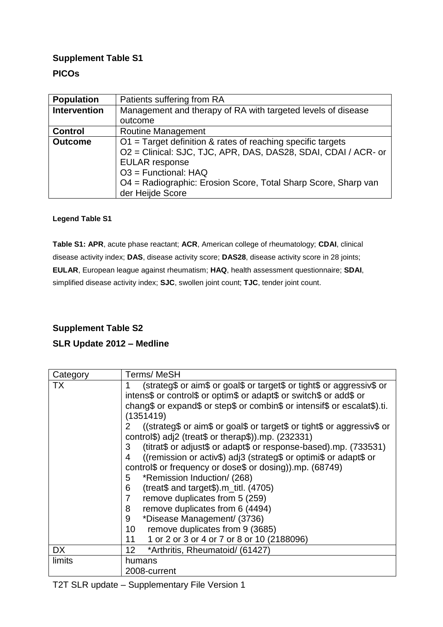### **Supplement Table S1**

### **PICOs**

| <b>Population</b>   | Patients suffering from RA                                     |
|---------------------|----------------------------------------------------------------|
| <b>Intervention</b> | Management and therapy of RA with targeted levels of disease   |
|                     | outcome                                                        |
| <b>Control</b>      | <b>Routine Management</b>                                      |
| <b>Outcome</b>      | $O1$ = Target definition & rates of reaching specific targets  |
|                     | O2 = Clinical: SJC, TJC, APR, DAS, DAS28, SDAI, CDAI / ACR- or |
|                     | <b>EULAR</b> response                                          |
|                     | $O3$ = Functional: HAQ                                         |
|                     | O4 = Radiographic: Erosion Score, Total Sharp Score, Sharp van |
|                     | der Heijde Score                                               |
|                     |                                                                |

#### **Legend Table S1**

**Table S1: APR**, acute phase reactant; **ACR**, American college of rheumatology; **CDAI**, clinical disease activity index; **DAS**, disease activity score; **DAS28**, disease activity score in 28 joints; **EULAR**, European league against rheumatism; **HAQ**, health assessment questionnaire; **SDAI**, simplified disease activity index; **SJC**, swollen joint count; **TJC**, tender joint count.

# **Supplement Table S2**

#### **SLR Update 2012 – Medline**

| Category | Terms/MeSH                                                                                                                                                    |  |  |  |
|----------|---------------------------------------------------------------------------------------------------------------------------------------------------------------|--|--|--|
| ТX       | (strateg\$ or aim\$ or goal\$ or target\$ or tight\$ or aggressiv\$ or                                                                                        |  |  |  |
|          | intens\$ or control\$ or optim\$ or adapt\$ or switch\$ or add\$ or<br>chang\$ or expand\$ or step\$ or combin\$ or intensif\$ or escalat\$).ti.<br>(1351419) |  |  |  |
|          |                                                                                                                                                               |  |  |  |
|          |                                                                                                                                                               |  |  |  |
|          | ((strateg\$ or aim\$ or goal\$ or target\$ or tight\$ or aggressiv\$ or<br>2                                                                                  |  |  |  |
|          | control\$) adj2 (treat\$ or therap\$)).mp. $(232331)$                                                                                                         |  |  |  |
|          | (titrat\$ or adjust\$ or adapt\$ or response-based).mp. (733531)<br>3                                                                                         |  |  |  |
|          | ((remission or activ\$) adj3 (strateg\$ or optimi\$ or adapt\$ or<br>4                                                                                        |  |  |  |
|          | control\$ or frequency or dose\$ or dosing)).mp. (68749)                                                                                                      |  |  |  |
|          | *Remission Induction/ (268)<br>5                                                                                                                              |  |  |  |
|          | (treat $$$ and target $$)$ .m_titl. (4705)<br>6                                                                                                               |  |  |  |
|          | remove duplicates from 5 (259)<br>7                                                                                                                           |  |  |  |
|          | remove duplicates from 6 (4494)<br>8                                                                                                                          |  |  |  |
|          | *Disease Management/ (3736)<br>9                                                                                                                              |  |  |  |
|          | remove duplicates from 9 (3685)<br>10                                                                                                                         |  |  |  |
|          | 1 or 2 or 3 or 4 or 7 or 8 or 10 (2188096)<br>11                                                                                                              |  |  |  |
| DX       | *Arthritis, Rheumatoid/ (61427)<br>12 <sup>°</sup>                                                                                                            |  |  |  |
| limits   | humans                                                                                                                                                        |  |  |  |
|          | 2008-current                                                                                                                                                  |  |  |  |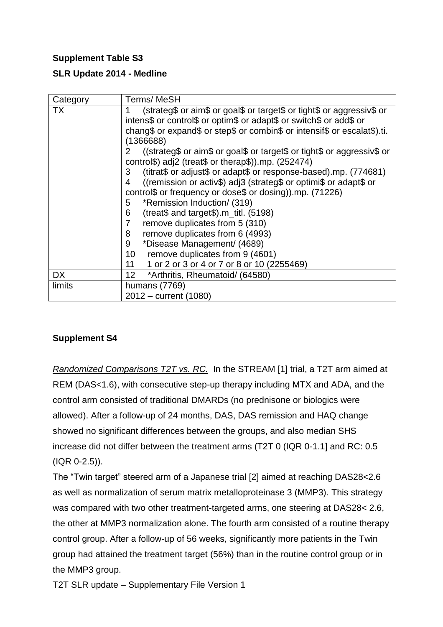# **Supplement Table S3**

### **SLR Update 2014 - Medline**

| Category  | <b>Terms/MeSH</b>                                                                                                                                                                                                                                                                                                                                                                                                                                                                                                                                                                                                                                                                                                                                                                                                                                                                                          |
|-----------|------------------------------------------------------------------------------------------------------------------------------------------------------------------------------------------------------------------------------------------------------------------------------------------------------------------------------------------------------------------------------------------------------------------------------------------------------------------------------------------------------------------------------------------------------------------------------------------------------------------------------------------------------------------------------------------------------------------------------------------------------------------------------------------------------------------------------------------------------------------------------------------------------------|
| TX        | (strateg\$ or aim\$ or goal\$ or target\$ or tight\$ or aggressiv\$ or<br>intens\$ or control\$ or optim\$ or adapt\$ or switch\$ or add\$ or<br>chang\$ or expand\$ or step\$ or combin\$ or intensif\$ or escalat\$).ti.<br>(1366688)<br>((strateg\$ or aim\$ or goal\$ or target\$ or tight\$ or aggressiv\$ or<br>2<br>control\$) adj2 (treat\$ or therap\$)).mp. (252474)<br>(titrat\$ or adjust\$ or adapt\$ or response-based).mp. (774681)<br>3<br>((remission or activ\$) adj3 (strateg\$ or optimi\$ or adapt\$ or<br>4<br>control\$ or frequency or dose\$ or dosing)).mp. (71226)<br>*Remission Induction/ (319)<br>5<br>(treat\$ and target\$). $m_{\text{til.}}$ (5198)<br>6<br>remove duplicates from 5 (310)<br>7<br>remove duplicates from 6 (4993)<br>8<br>*Disease Management/ (4689)<br>9<br>remove duplicates from 9 (4601)<br>10<br>1 or 2 or 3 or 4 or 7 or 8 or 10 (2255469)<br>11 |
| <b>DX</b> | *Arthritis, Rheumatoid/ (64580)<br>12 <sub>2</sub>                                                                                                                                                                                                                                                                                                                                                                                                                                                                                                                                                                                                                                                                                                                                                                                                                                                         |
| limits    | humans (7769)                                                                                                                                                                                                                                                                                                                                                                                                                                                                                                                                                                                                                                                                                                                                                                                                                                                                                              |
|           | 2012 – current (1080)                                                                                                                                                                                                                                                                                                                                                                                                                                                                                                                                                                                                                                                                                                                                                                                                                                                                                      |

#### **Supplement S4**

*Randomized Comparisons T2T vs. RC.* In the STREAM [1] trial, a T2T arm aimed at REM (DAS<1.6), with consecutive step-up therapy including MTX and ADA, and the control arm consisted of traditional DMARDs (no prednisone or biologics were allowed). After a follow-up of 24 months, DAS, DAS remission and HAQ change showed no significant differences between the groups, and also median SHS increase did not differ between the treatment arms (T2T 0 (IQR 0-1.1] and RC: 0.5 (IQR 0-2.5)).

The "Twin target" steered arm of a Japanese trial [2] aimed at reaching DAS28<2.6 as well as normalization of serum matrix metalloproteinase 3 (MMP3). This strategy was compared with two other treatment-targeted arms, one steering at DAS28< 2.6, the other at MMP3 normalization alone. The fourth arm consisted of a routine therapy control group. After a follow-up of 56 weeks, significantly more patients in the Twin group had attained the treatment target (56%) than in the routine control group or in the MMP3 group.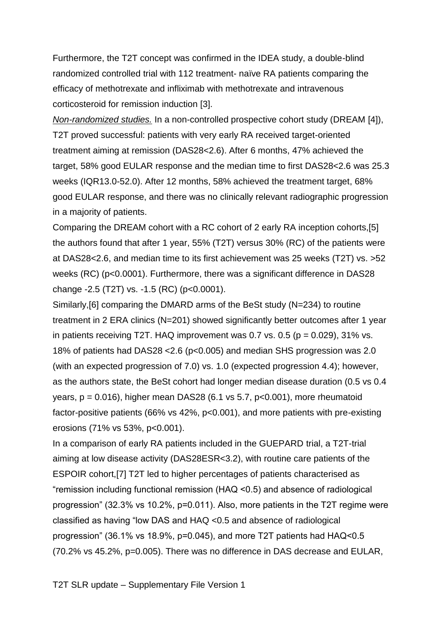Furthermore, the T2T concept was confirmed in the IDEA study, a double-blind randomized controlled trial with 112 treatment- naïve RA patients comparing the efficacy of methotrexate and infliximab with methotrexate and intravenous corticosteroid for remission induction [3].

*Non-randomized studies.* In a non-controlled prospective cohort study (DREAM [4]), T2T proved successful: patients with very early RA received target-oriented treatment aiming at remission (DAS28<2.6). After 6 months, 47% achieved the target, 58% good EULAR response and the median time to first DAS28<2.6 was 25.3 weeks (IQR13.0-52.0). After 12 months, 58% achieved the treatment target, 68% good EULAR response, and there was no clinically relevant radiographic progression in a majority of patients.

Comparing the DREAM cohort with a RC cohort of 2 early RA inception cohorts,[5] the authors found that after 1 year, 55% (T2T) versus 30% (RC) of the patients were at DAS28<2.6, and median time to its first achievement was 25 weeks (T2T) vs. >52 weeks (RC) (p<0.0001). Furthermore, there was a significant difference in DAS28 change -2.5 (T2T) vs. -1.5 (RC) (p<0.0001).

Similarly,[6] comparing the DMARD arms of the BeSt study (N=234) to routine treatment in 2 ERA clinics (N=201) showed significantly better outcomes after 1 year in patients receiving T2T. HAQ improvement was 0.7 vs. 0.5 ( $p = 0.029$ ), 31% vs. 18% of patients had DAS28 <2.6 (p<0.005) and median SHS progression was 2.0 (with an expected progression of 7.0) vs. 1.0 (expected progression 4.4); however, as the authors state, the BeSt cohort had longer median disease duration (0.5 vs 0.4 years,  $p = 0.016$ ), higher mean DAS28 (6.1 vs 5.7,  $p < 0.001$ ), more rheumatoid factor-positive patients (66% vs 42%, p<0.001), and more patients with pre-existing erosions (71% vs 53%, p<0.001).

In a comparison of early RA patients included in the GUEPARD trial, a T2T-trial aiming at low disease activity (DAS28ESR<3.2), with routine care patients of the ESPOIR cohort,[7] T2T led to higher percentages of patients characterised as "remission including functional remission (HAQ <0.5) and absence of radiological progression" (32.3% vs 10.2%, p=0.011). Also, more patients in the T2T regime were classified as having "low DAS and HAQ <0.5 and absence of radiological progression" (36.1% vs 18.9%, p=0.045), and more T2T patients had HAQ<0.5 (70.2% vs 45.2%, p=0.005). There was no difference in DAS decrease and EULAR,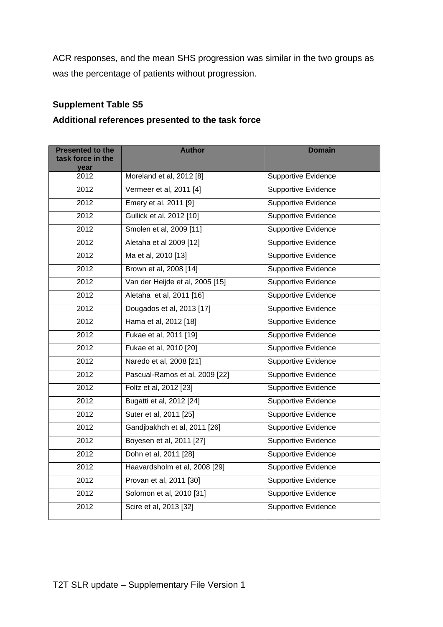ACR responses, and the mean SHS progression was similar in the two groups as was the percentage of patients without progression.

# **Supplement Table S5**

### **Additional references presented to the task force**

| <b>Presented to the</b><br>task force in the<br>year | <b>Author</b>                   | <b>Domain</b>              |
|------------------------------------------------------|---------------------------------|----------------------------|
| 2012                                                 | Moreland et al, 2012 [8]        | Supportive Evidence        |
| 2012                                                 | Vermeer et al, 2011 [4]         | <b>Supportive Evidence</b> |
| 2012                                                 | Emery et al, 2011 [9]           | Supportive Evidence        |
| 2012                                                 | Gullick et al, 2012 [10]        | <b>Supportive Evidence</b> |
| 2012                                                 | Smolen et al, 2009 [11]         | <b>Supportive Evidence</b> |
| 2012                                                 | Aletaha et al 2009 [12]         | Supportive Evidence        |
| 2012                                                 | Ma et al, 2010 [13]             | Supportive Evidence        |
| 2012                                                 | Brown et al, 2008 [14]          | <b>Supportive Evidence</b> |
| 2012                                                 | Van der Heijde et al, 2005 [15] | <b>Supportive Evidence</b> |
| 2012                                                 | Aletaha et al, 2011 [16]        | <b>Supportive Evidence</b> |
| 2012                                                 | Dougados et al, 2013 [17]       | <b>Supportive Evidence</b> |
| 2012                                                 | Hama et al, 2012 [18]           | <b>Supportive Evidence</b> |
| 2012                                                 | Fukae et al, 2011 [19]          | Supportive Evidence        |
| 2012                                                 | Fukae et al, 2010 [20]          | <b>Supportive Evidence</b> |
| 2012                                                 | Naredo et al, 2008 [21]         | Supportive Evidence        |
| 2012                                                 | Pascual-Ramos et al, 2009 [22]  | <b>Supportive Evidence</b> |
| 2012                                                 | Foltz et al, 2012 [23]          | Supportive Evidence        |
| 2012                                                 | Bugatti et al, 2012 [24]        | <b>Supportive Evidence</b> |
| 2012                                                 | Suter et al, 2011 [25]          | <b>Supportive Evidence</b> |
| 2012                                                 | Gandjbakhch et al, 2011 [26]    | Supportive Evidence        |
| 2012                                                 | Boyesen et al, 2011 [27]        | Supportive Evidence        |
| 2012                                                 | Dohn et al, 2011 [28]           | <b>Supportive Evidence</b> |
| 2012                                                 | Haavardsholm et al, 2008 [29]   | <b>Supportive Evidence</b> |
| 2012                                                 | Provan et al, 2011 [30]         | Supportive Evidence        |
| 2012                                                 | Solomon et al, 2010 [31]        | <b>Supportive Evidence</b> |
| 2012                                                 | Scire et al, 2013 [32]          | <b>Supportive Evidence</b> |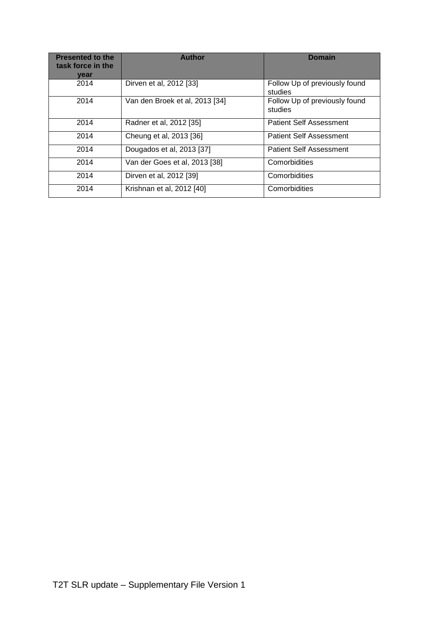| <b>Presented to the</b><br>task force in the<br>vear | <b>Author</b>                  | <b>Domain</b>                            |
|------------------------------------------------------|--------------------------------|------------------------------------------|
| 2014                                                 | Dirven et al, 2012 [33]        | Follow Up of previously found<br>studies |
| 2014                                                 | Van den Broek et al, 2013 [34] | Follow Up of previously found<br>studies |
| 2014                                                 | Radner et al, 2012 [35]        | <b>Patient Self Assessment</b>           |
| 2014                                                 | Cheung et al, 2013 [36]        | <b>Patient Self Assessment</b>           |
| 2014                                                 | Dougados et al, 2013 [37]      | <b>Patient Self Assessment</b>           |
| 2014                                                 | Van der Goes et al, 2013 [38]  | Comorbidities                            |
| 2014                                                 | Dirven et al, 2012 [39]        | Comorbidities                            |
| 2014                                                 | Krishnan et al, 2012 [40]      | Comorbidities                            |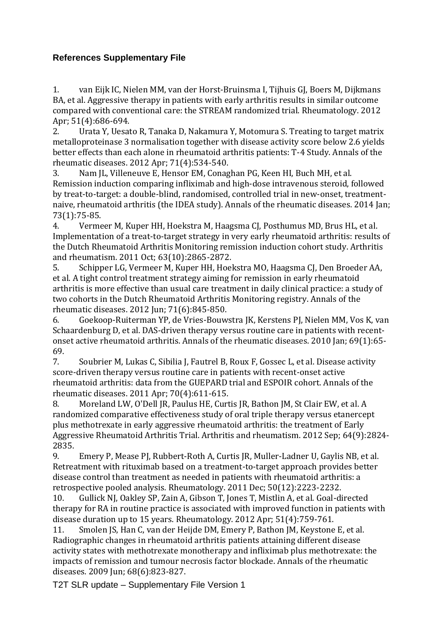### **References Supplementary File**

1. van Eijk IC, Nielen MM, van der Horst-Bruinsma I, Tijhuis GJ, Boers M, Dijkmans BA, et al. Aggressive therapy in patients with early arthritis results in similar outcome compared with conventional care: the STREAM randomized trial. Rheumatology. 2012 Apr; 51(4):686-694.

2. Urata Y, Uesato R, Tanaka D, Nakamura Y, Motomura S. Treating to target matrix metalloproteinase 3 normalisation together with disease activity score below 2.6 yields better effects than each alone in rheumatoid arthritis patients: T-4 Study. Annals of the rheumatic diseases. 2012 Apr; 71(4):534-540.

3. Nam JL, Villeneuve E, Hensor EM, Conaghan PG, Keen HI, Buch MH, et al. Remission induction comparing infliximab and high-dose intravenous steroid, followed by treat-to-target: a double-blind, randomised, controlled trial in new-onset, treatmentnaive, rheumatoid arthritis (the IDEA study). Annals of the rheumatic diseases. 2014 Jan; 73(1):75-85.

4. Vermeer M, Kuper HH, Hoekstra M, Haagsma CJ, Posthumus MD, Brus HL, et al. Implementation of a treat-to-target strategy in very early rheumatoid arthritis: results of the Dutch Rheumatoid Arthritis Monitoring remission induction cohort study. Arthritis and rheumatism. 2011 Oct; 63(10):2865-2872.

5. Schipper LG, Vermeer M, Kuper HH, Hoekstra MO, Haagsma CJ, Den Broeder AA, et al. A tight control treatment strategy aiming for remission in early rheumatoid arthritis is more effective than usual care treatment in daily clinical practice: a study of two cohorts in the Dutch Rheumatoid Arthritis Monitoring registry. Annals of the rheumatic diseases. 2012 Jun; 71(6):845-850.

6. Goekoop-Ruiterman YP, de Vries-Bouwstra JK, Kerstens PJ, Nielen MM, Vos K, van Schaardenburg D, et al. DAS-driven therapy versus routine care in patients with recentonset active rheumatoid arthritis. Annals of the rheumatic diseases. 2010 Jan; 69(1):65- 69.

7. Soubrier M, Lukas C, Sibilia J, Fautrel B, Roux F, Gossec L, et al. Disease activity score-driven therapy versus routine care in patients with recent-onset active rheumatoid arthritis: data from the GUEPARD trial and ESPOIR cohort. Annals of the rheumatic diseases. 2011 Apr; 70(4):611-615.

8. Moreland LW, O'Dell JR, Paulus HE, Curtis JR, Bathon JM, St Clair EW, et al. A randomized comparative effectiveness study of oral triple therapy versus etanercept plus methotrexate in early aggressive rheumatoid arthritis: the treatment of Early Aggressive Rheumatoid Arthritis Trial. Arthritis and rheumatism. 2012 Sep; 64(9):2824- 2835.

9. Emery P, Mease PJ, Rubbert-Roth A, Curtis JR, Muller-Ladner U, Gaylis NB, et al. Retreatment with rituximab based on a treatment-to-target approach provides better disease control than treatment as needed in patients with rheumatoid arthritis: a retrospective pooled analysis. Rheumatology. 2011 Dec; 50(12):2223-2232.

10. Gullick NJ, Oakley SP, Zain A, Gibson T, Jones T, Mistlin A, et al. Goal-directed therapy for RA in routine practice is associated with improved function in patients with disease duration up to 15 years. Rheumatology. 2012 Apr; 51(4):759-761.

11. Smolen JS, Han C, van der Heijde DM, Emery P, Bathon JM, Keystone E, et al. Radiographic changes in rheumatoid arthritis patients attaining different disease activity states with methotrexate monotherapy and infliximab plus methotrexate: the impacts of remission and tumour necrosis factor blockade. Annals of the rheumatic diseases. 2009 Jun; 68(6):823-827.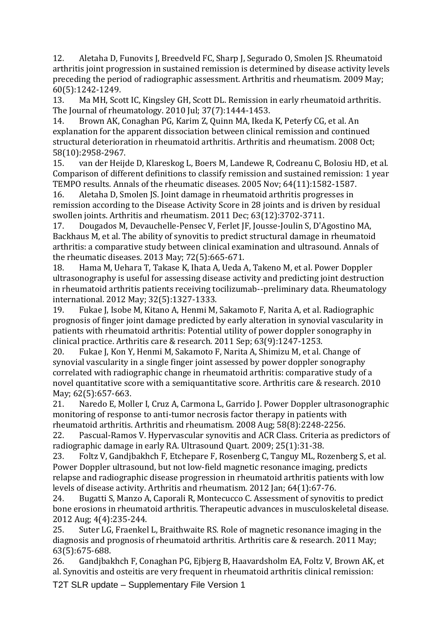12. Aletaha D, Funovits J, Breedveld FC, Sharp J, Segurado O, Smolen JS. Rheumatoid arthritis joint progression in sustained remission is determined by disease activity levels preceding the period of radiographic assessment. Arthritis and rheumatism. 2009 May; 60(5):1242-1249.

13. Ma MH, Scott IC, Kingsley GH, Scott DL. Remission in early rheumatoid arthritis. The Journal of rheumatology. 2010 Jul; 37(7):1444-1453.

14. Brown AK, Conaghan PG, Karim Z, Quinn MA, Ikeda K, Peterfy CG, et al. An explanation for the apparent dissociation between clinical remission and continued structural deterioration in rheumatoid arthritis. Arthritis and rheumatism. 2008 Oct; 58(10):2958-2967.

15. van der Heijde D, Klareskog L, Boers M, Landewe R, Codreanu C, Bolosiu HD, et al. Comparison of different definitions to classify remission and sustained remission: 1 year TEMPO results. Annals of the rheumatic diseases. 2005 Nov; 64(11):1582-1587.

16. Aletaha D, Smolen JS. Joint damage in rheumatoid arthritis progresses in remission according to the Disease Activity Score in 28 joints and is driven by residual swollen joints. Arthritis and rheumatism. 2011 Dec; 63(12):3702-3711.

17. Dougados M, Devauchelle-Pensec V, Ferlet JF, Jousse-Joulin S, D'Agostino MA, Backhaus M, et al. The ability of synovitis to predict structural damage in rheumatoid arthritis: a comparative study between clinical examination and ultrasound. Annals of the rheumatic diseases. 2013 May; 72(5):665-671.

18. Hama M, Uehara T, Takase K, Ihata A, Ueda A, Takeno M, et al. Power Doppler ultrasonography is useful for assessing disease activity and predicting joint destruction in rheumatoid arthritis patients receiving tocilizumab--preliminary data. Rheumatology international. 2012 May; 32(5):1327-1333.

19. Fukae J, Isobe M, Kitano A, Henmi M, Sakamoto F, Narita A, et al. Radiographic prognosis of finger joint damage predicted by early alteration in synovial vascularity in patients with rheumatoid arthritis: Potential utility of power doppler sonography in clinical practice. Arthritis care & research. 2011 Sep; 63(9):1247-1253.

20. Fukae J, Kon Y, Henmi M, Sakamoto F, Narita A, Shimizu M, et al. Change of synovial vascularity in a single finger joint assessed by power doppler sonography correlated with radiographic change in rheumatoid arthritis: comparative study of a novel quantitative score with a semiquantitative score. Arthritis care & research. 2010 May; 62(5):657-663.

21. Naredo E, Moller I, Cruz A, Carmona L, Garrido J. Power Doppler ultrasonographic monitoring of response to anti-tumor necrosis factor therapy in patients with rheumatoid arthritis. Arthritis and rheumatism. 2008 Aug; 58(8):2248-2256.

22. Pascual-Ramos V. Hypervascular synovitis and ACR Class. Criteria as predictors of radiographic damage in early RA. Ultrasound Quart. 2009; 25(1):31-38.

23. Foltz V, Gandjbakhch F, Etchepare F, Rosenberg C, Tanguy ML, Rozenberg S, et al. Power Doppler ultrasound, but not low-field magnetic resonance imaging, predicts relapse and radiographic disease progression in rheumatoid arthritis patients with low levels of disease activity. Arthritis and rheumatism. 2012 Jan; 64(1):67-76.

24. Bugatti S, Manzo A, Caporali R, Montecucco C. Assessment of synovitis to predict bone erosions in rheumatoid arthritis. Therapeutic advances in musculoskeletal disease. 2012 Aug; 4(4):235-244.

25. Suter LG, Fraenkel L, Braithwaite RS. Role of magnetic resonance imaging in the diagnosis and prognosis of rheumatoid arthritis. Arthritis care & research. 2011 May; 63(5):675-688.

26. Gandjbakhch F, Conaghan PG, Ejbjerg B, Haavardsholm EA, Foltz V, Brown AK, et al. Synovitis and osteitis are very frequent in rheumatoid arthritis clinical remission: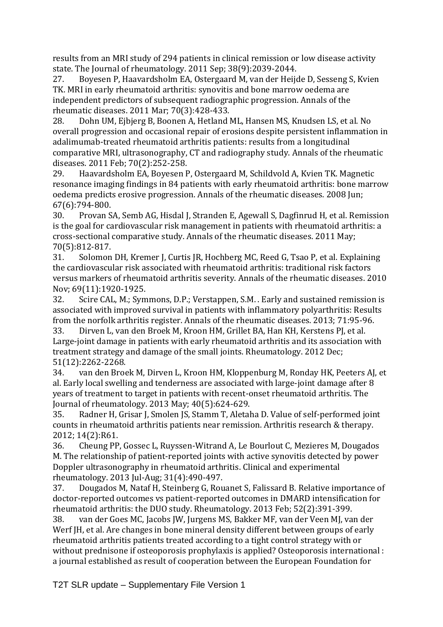results from an MRI study of 294 patients in clinical remission or low disease activity state. The Journal of rheumatology. 2011 Sep; 38(9):2039-2044.

27. Boyesen P, Haavardsholm EA, Ostergaard M, van der Heijde D, Sesseng S, Kvien TK. MRI in early rheumatoid arthritis: synovitis and bone marrow oedema are independent predictors of subsequent radiographic progression. Annals of the rheumatic diseases. 2011 Mar; 70(3):428-433.

28. Dohn UM, Ejbjerg B, Boonen A, Hetland ML, Hansen MS, Knudsen LS, et al. No overall progression and occasional repair of erosions despite persistent inflammation in adalimumab-treated rheumatoid arthritis patients: results from a longitudinal comparative MRI, ultrasonography, CT and radiography study. Annals of the rheumatic diseases. 2011 Feb; 70(2):252-258.

29. Haavardsholm EA, Boyesen P, Ostergaard M, Schildvold A, Kvien TK. Magnetic resonance imaging findings in 84 patients with early rheumatoid arthritis: bone marrow oedema predicts erosive progression. Annals of the rheumatic diseases. 2008 Jun; 67(6):794-800.

30. Provan SA, Semb AG, Hisdal J, Stranden E, Agewall S, Dagfinrud H, et al. Remission is the goal for cardiovascular risk management in patients with rheumatoid arthritis: a cross-sectional comparative study. Annals of the rheumatic diseases. 2011 May; 70(5):812-817.

31. Solomon DH, Kremer J, Curtis JR, Hochberg MC, Reed G, Tsao P, et al. Explaining the cardiovascular risk associated with rheumatoid arthritis: traditional risk factors versus markers of rheumatoid arthritis severity. Annals of the rheumatic diseases. 2010 Nov; 69(11):1920-1925.

32. Scire CAL, M.; Symmons, D.P.; Verstappen, S.M. . Early and sustained remission is associated with improved survival in patients with inflammatory polyarthritis: Results from the norfolk arthritis register. Annals of the rheumatic diseases. 2013; 71:95-96.

33. Dirven L, van den Broek M, Kroon HM, Grillet BA, Han KH, Kerstens PJ, et al. Large-joint damage in patients with early rheumatoid arthritis and its association with treatment strategy and damage of the small joints. Rheumatology. 2012 Dec; 51(12):2262-2268.

34. van den Broek M, Dirven L, Kroon HM, Kloppenburg M, Ronday HK, Peeters AJ, et al. Early local swelling and tenderness are associated with large-joint damage after 8 years of treatment to target in patients with recent-onset rheumatoid arthritis. The Journal of rheumatology. 2013 May; 40(5):624-629.

35. Radner H, Grisar J, Smolen JS, Stamm T, Aletaha D. Value of self-performed joint counts in rheumatoid arthritis patients near remission. Arthritis research & therapy. 2012; 14(2):R61.

36. Cheung PP, Gossec L, Ruyssen-Witrand A, Le Bourlout C, Mezieres M, Dougados M. The relationship of patient-reported joints with active synovitis detected by power Doppler ultrasonography in rheumatoid arthritis. Clinical and experimental rheumatology. 2013 Jul-Aug; 31(4):490-497.

37. Dougados M, Nataf H, Steinberg G, Rouanet S, Falissard B. Relative importance of doctor-reported outcomes vs patient-reported outcomes in DMARD intensification for rheumatoid arthritis: the DUO study. Rheumatology. 2013 Feb; 52(2):391-399.

38. van der Goes MC, Jacobs JW, Jurgens MS, Bakker MF, van der Veen MJ, van der Werf JH, et al. Are changes in bone mineral density different between groups of early rheumatoid arthritis patients treated according to a tight control strategy with or without prednisone if osteoporosis prophylaxis is applied? Osteoporosis international : a journal established as result of cooperation between the European Foundation for